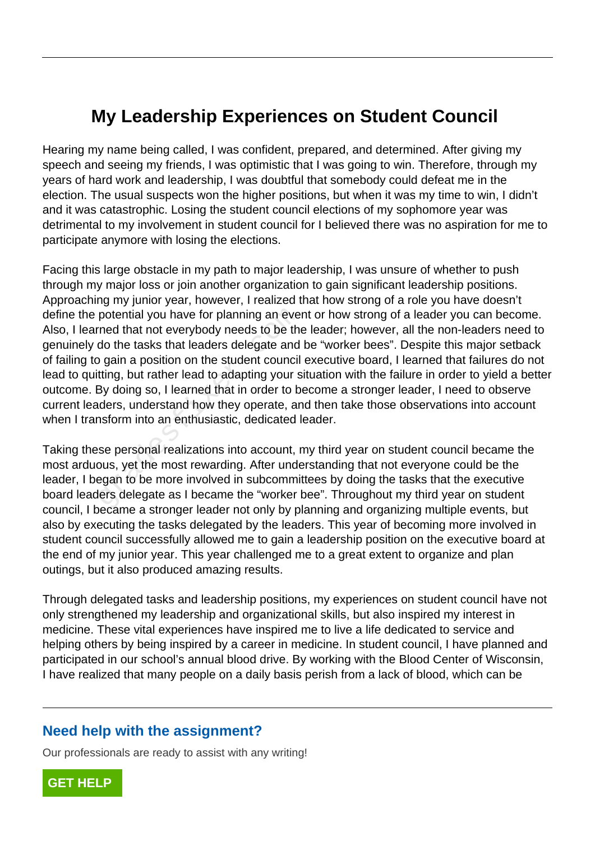## **My Leadership Experiences on Student Council**

Hearing my name being called, I was confident, prepared, and determined. After giving my speech and seeing my friends, I was optimistic that I was going to win. Therefore, through my years of hard work and leadership, I was doubtful that somebody could defeat me in the election. The usual suspects won the higher positions, but when it was my time to win, I didn't and it was catastrophic. Losing the student council elections of my sophomore year was detrimental to my involvement in student council for I believed there was no aspiration for me to participate anymore with losing the elections.

Facing this large obstacle in my path to major leadership, I was unsure of whether to push through my major loss or join another organization to gain significant leadership positions. Approaching my junior year, however, I realized that how strong of a role you have doesn't define the potential you have for planning an event or how strong of a leader you can become. Also, I learned that not everybody needs to be the leader; however, all the non-leaders need to genuinely do the tasks that leaders delegate and be "worker bees". Despite this major setback of failing to gain a position on the student council executive board, I learned that failures do not lead to quitting, but rather lead to adapting your situation with the failure in order to yield a better outcome. By doing so, I learned that in order to become a stronger leader, I need to observe current leaders, understand how they operate, and then take those observations into account when I transform into an enthusiastic, dedicated leader. potential you have for planning an eve<br>
rned that not everybody needs to be the<br>
do the tasks that leaders delegate and<br>
b gain a position on the student council<br>
tting, but rather lead to adapting your s<br>
By doing so, I l

Taking these personal realizations into account, my third year on student council became the most arduous, yet the most rewarding. After understanding that not everyone could be the leader, I began to be more involved in subcommittees by doing the tasks that the executive board leaders delegate as I became the "worker bee". Throughout my third year on student council, I became a stronger leader not only by planning and organizing multiple events, but also by executing the tasks delegated by the leaders. This year of becoming more involved in student council successfully allowed me to gain a leadership position on the executive board at the end of my junior year. This year challenged me to a great extent to organize and plan outings, but it also produced amazing results.

Through delegated tasks and leadership positions, my experiences on student council have not only strengthened my leadership and organizational skills, but also inspired my interest in medicine. These vital experiences have inspired me to live a life dedicated to service and helping others by being inspired by a career in medicine. In student council, I have planned and participated in our school's annual blood drive. By working with the Blood Center of Wisconsin, I have realized that many people on a daily basis perish from a lack of blood, which can be

## **Need help with the assignment?**

Our professionals are ready to assist with any writing!